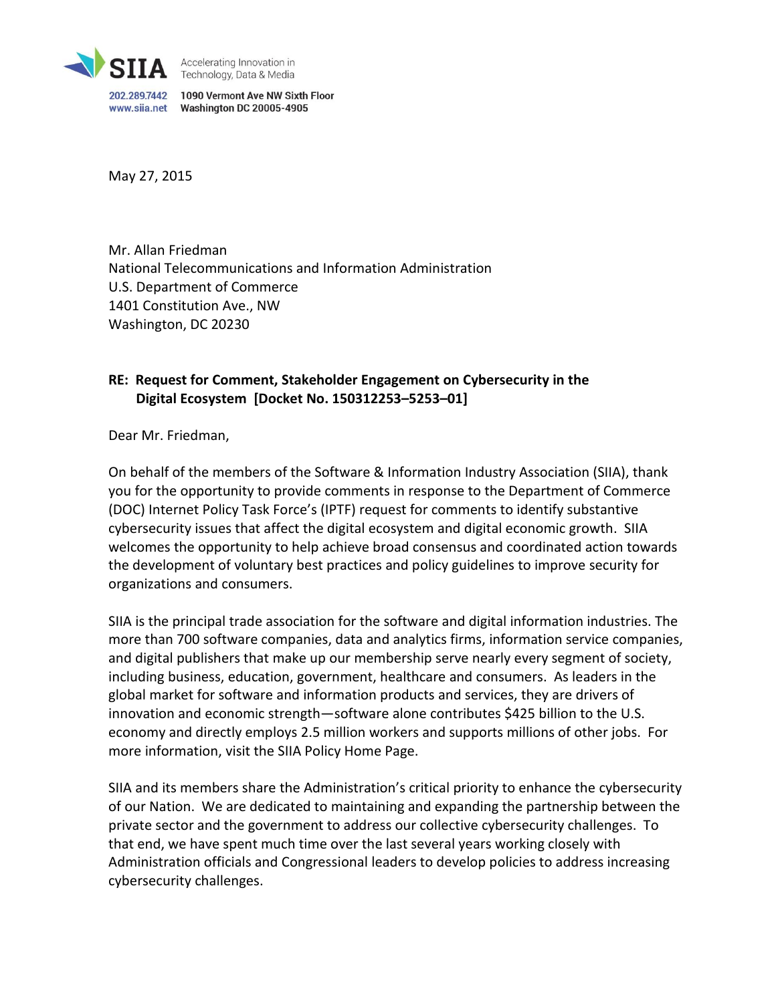

Accelerating Innovation in Technology, Data & Media

202.289.7442 1090 Vermont Ave NW Sixth Floor 

May 27, 2015

Mr. Allan Friedman National Telecommunications and Information Administration U.S. Department of Commerce 1401 Constitution Ave., NW Washington, DC 20230

# **RE: Request for Comment, Stakeholder Engagement on Cybersecurity in the Digital Ecosystem [Docket No. 150312253–5253–01]**

Dear Mr. Friedman,

On behalf of the members of the Software & Information Industry Association (SIIA), thank you for the opportunity to provide comments in response to the Department of Commerce (DOC) Internet Policy Task Force's (IPTF) request for comments to identify substantive cybersecurity issues that affect the digital ecosystem and digital economic growth. SIIA welcomes the opportunity to help achieve broad consensus and coordinated action towards the development of voluntary best practices and policy guidelines to improve security for organizations and consumers.

SIIA is the principal trade association for the software and digital information industries. The more than 700 software companies, data and analytics firms, information service companies, and digital publishers that make up our membership serve nearly every segment of society, including business, education, government, healthcare and consumers. As leaders in the global market for software and information products and services, they are drivers of innovation and economic strength—software alone contributes \$425 billion to the U.S. economy and directly employs 2.5 million workers and supports millions of other jobs. For more information, visit the SIIA Policy Home Page.

SIIA and its members share the Administration's critical priority to enhance the cybersecurity of our Nation. We are dedicated to maintaining and expanding the partnership between the private sector and the government to address our collective cybersecurity challenges. To that end, we have spent much time over the last several years working closely with Administration officials and Congressional leaders to develop policies to address increasing cybersecurity challenges.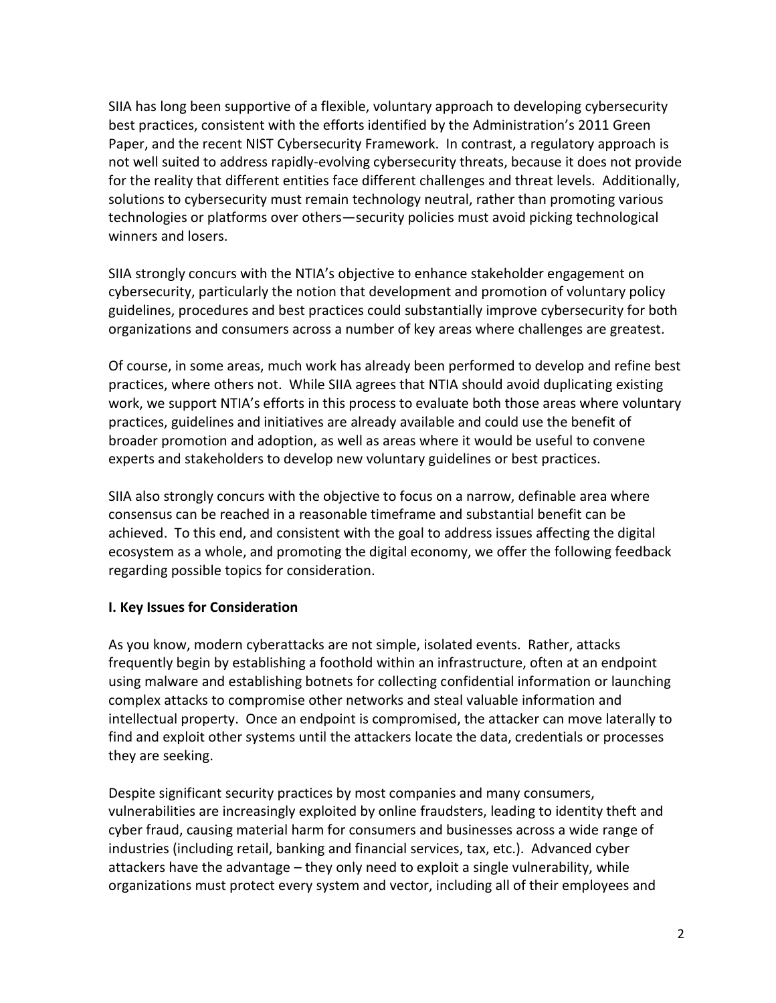SIIA has long been supportive of a flexible, voluntary approach to developing cybersecurity best practices, consistent with the efforts identified by the Administration's 2011 Green Paper, and the recent NIST Cybersecurity Framework. In contrast, a regulatory approach is not well suited to address rapidly-evolving cybersecurity threats, because it does not provide for the reality that different entities face different challenges and threat levels. Additionally, solutions to cybersecurity must remain technology neutral, rather than promoting various technologies or platforms over others—security policies must avoid picking technological winners and losers.

SIIA strongly concurs with the NTIA's objective to enhance stakeholder engagement on cybersecurity, particularly the notion that development and promotion of voluntary policy guidelines, procedures and best practices could substantially improve cybersecurity for both organizations and consumers across a number of key areas where challenges are greatest.

Of course, in some areas, much work has already been performed to develop and refine best practices, where others not. While SIIA agrees that NTIA should avoid duplicating existing work, we support NTIA's efforts in this process to evaluate both those areas where voluntary practices, guidelines and initiatives are already available and could use the benefit of broader promotion and adoption, as well as areas where it would be useful to convene experts and stakeholders to develop new voluntary guidelines or best practices.

SIIA also strongly concurs with the objective to focus on a narrow, definable area where consensus can be reached in a reasonable timeframe and substantial benefit can be achieved. To this end, and consistent with the goal to address issues affecting the digital ecosystem as a whole, and promoting the digital economy, we offer the following feedback regarding possible topics for consideration.

# **I. Key Issues for Consideration**

As you know, modern cyberattacks are not simple, isolated events. Rather, attacks frequently begin by establishing a foothold within an infrastructure, often at an endpoint using malware and establishing botnets for collecting confidential information or launching complex attacks to compromise other networks and steal valuable information and intellectual property. Once an endpoint is compromised, the attacker can move laterally to find and exploit other systems until the attackers locate the data, credentials or processes they are seeking.

Despite significant security practices by most companies and many consumers, vulnerabilities are increasingly exploited by online fraudsters, leading to identity theft and cyber fraud, causing material harm for consumers and businesses across a wide range of industries (including retail, banking and financial services, tax, etc.). Advanced cyber attackers have the advantage – they only need to exploit a single vulnerability, while organizations must protect every system and vector, including all of their employees and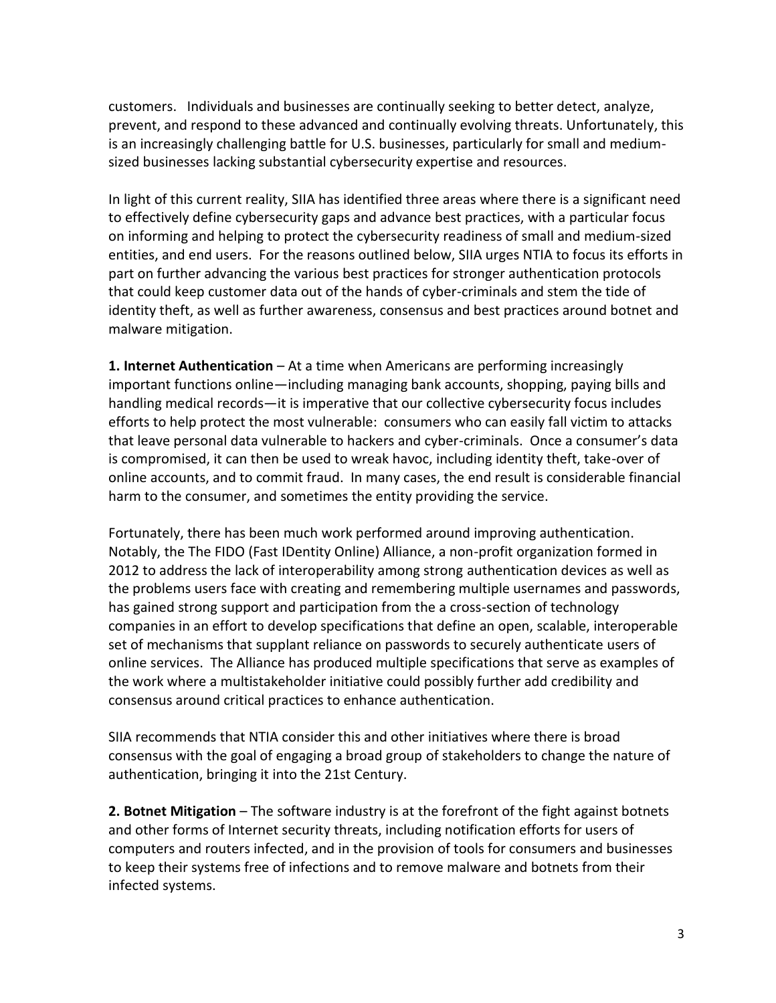customers. Individuals and businesses are continually seeking to better detect, analyze, prevent, and respond to these advanced and continually evolving threats. Unfortunately, this is an increasingly challenging battle for U.S. businesses, particularly for small and mediumsized businesses lacking substantial cybersecurity expertise and resources.

In light of this current reality, SIIA has identified three areas where there is a significant need to effectively define cybersecurity gaps and advance best practices, with a particular focus on informing and helping to protect the cybersecurity readiness of small and medium-sized entities, and end users. For the reasons outlined below, SIIA urges NTIA to focus its efforts in part on further advancing the various best practices for stronger authentication protocols that could keep customer data out of the hands of cyber-criminals and stem the tide of identity theft, as well as further awareness, consensus and best practices around botnet and malware mitigation.

**1. Internet Authentication** – At a time when Americans are performing increasingly important functions online—including managing bank accounts, shopping, paying bills and handling medical records—it is imperative that our collective cybersecurity focus includes efforts to help protect the most vulnerable: consumers who can easily fall victim to attacks that leave personal data vulnerable to hackers and cyber-criminals. Once a consumer's data is compromised, it can then be used to wreak havoc, including identity theft, take-over of online accounts, and to commit fraud. In many cases, the end result is considerable financial harm to the consumer, and sometimes the entity providing the service.

Fortunately, there has been much work performed around improving authentication. Notably, the The FIDO (Fast IDentity Online) Alliance, a non-profit organization formed in 2012 to address the lack of interoperability among strong authentication devices as well as the problems users face with creating and remembering multiple usernames and passwords, has gained strong support and participation from the a cross-section of technology companies in an effort to develop specifications that define an open, scalable, interoperable set of mechanisms that supplant reliance on passwords to securely authenticate users of online services. The Alliance has produced multiple specifications that serve as examples of the work where a multistakeholder initiative could possibly further add credibility and consensus around critical practices to enhance authentication.

SIIA recommends that NTIA consider this and other initiatives where there is broad consensus with the goal of engaging a broad group of stakeholders to change the nature of authentication, bringing it into the 21st Century.

**2. Botnet Mitigation** – The software industry is at the forefront of the fight against botnets and other forms of Internet security threats, including notification efforts for users of computers and routers infected, and in the provision of tools for consumers and businesses to keep their systems free of infections and to remove malware and botnets from their infected systems.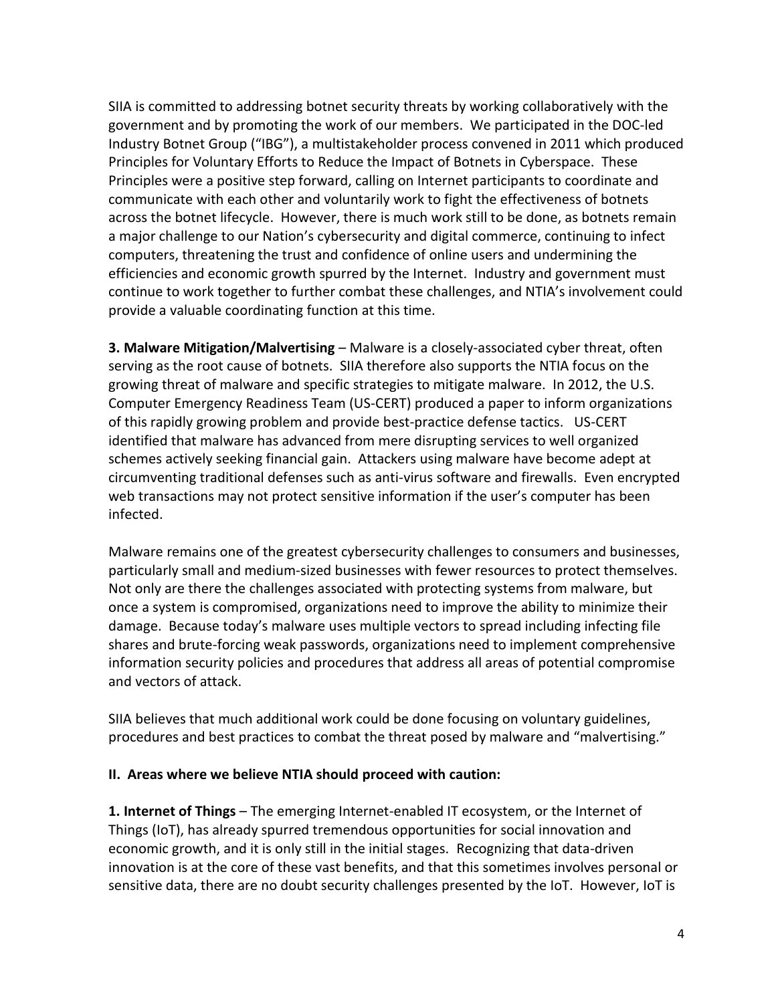SIIA is committed to addressing botnet security threats by working collaboratively with the government and by promoting the work of our members. We participated in the DOC-led Industry Botnet Group ("IBG"), a multistakeholder process convened in 2011 which produced Principles for Voluntary Efforts to Reduce the Impact of Botnets in Cyberspace. These Principles were a positive step forward, calling on Internet participants to coordinate and communicate with each other and voluntarily work to fight the effectiveness of botnets across the botnet lifecycle. However, there is much work still to be done, as botnets remain a major challenge to our Nation's cybersecurity and digital commerce, continuing to infect computers, threatening the trust and confidence of online users and undermining the efficiencies and economic growth spurred by the Internet. Industry and government must continue to work together to further combat these challenges, and NTIA's involvement could provide a valuable coordinating function at this time.

**3. Malware Mitigation/Malvertising** – Malware is a closely-associated cyber threat, often serving as the root cause of botnets. SIIA therefore also supports the NTIA focus on the growing threat of malware and specific strategies to mitigate malware. In 2012, the U.S. Computer Emergency Readiness Team (US-CERT) produced a paper to inform organizations of this rapidly growing problem and provide best-practice defense tactics. US-CERT identified that malware has advanced from mere disrupting services to well organized schemes actively seeking financial gain. Attackers using malware have become adept at circumventing traditional defenses such as anti-virus software and firewalls. Even encrypted web transactions may not protect sensitive information if the user's computer has been infected.

Malware remains one of the greatest cybersecurity challenges to consumers and businesses, particularly small and medium-sized businesses with fewer resources to protect themselves. Not only are there the challenges associated with protecting systems from malware, but once a system is compromised, organizations need to improve the ability to minimize their damage. Because today's malware uses multiple vectors to spread including infecting file shares and brute-forcing weak passwords, organizations need to implement comprehensive information security policies and procedures that address all areas of potential compromise and vectors of attack.

SIIA believes that much additional work could be done focusing on voluntary guidelines, procedures and best practices to combat the threat posed by malware and "malvertising."

# **II. Areas where we believe NTIA should proceed with caution:**

**1. Internet of Things** – The emerging Internet-enabled IT ecosystem, or the Internet of Things (IoT), has already spurred tremendous opportunities for social innovation and economic growth, and it is only still in the initial stages. Recognizing that data-driven innovation is at the core of these vast benefits, and that this sometimes involves personal or sensitive data, there are no doubt security challenges presented by the IoT. However, IoT is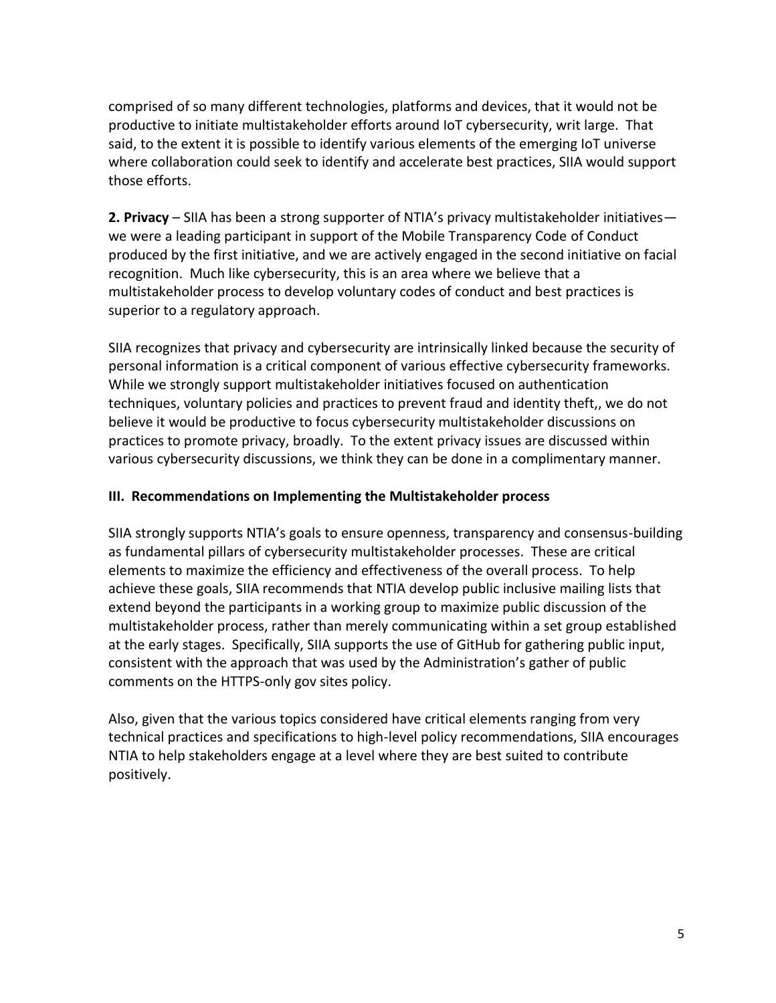comprised of so many different technologies, platforms and devices, that it would not be productive to initiate multistakeholder efforts around IoT cybersecurity, writ large. That said, to the extent it is possible to identify various elements of the emerging IoT universe where collaboration could seek to identify and accelerate best practices, SIIA would support those efforts.

**2. Privacy** – SIIA has been a strong supporter of NTIA's privacy multistakeholder initiatives we were a leading participant in support of the Mobile Transparency Code of Conduct produced by the first initiative, and we are actively engaged in the second initiative on facial recognition. Much like cybersecurity, this is an area where we believe that a multistakeholder process to develop voluntary codes of conduct and best practices is superior to a regulatory approach.

SIIA recognizes that privacy and cybersecurity are intrinsically linked because the security of personal information is a critical component of various effective cybersecurity frameworks. While we strongly support multistakeholder initiatives focused on authentication techniques, voluntary policies and practices to prevent fraud and identity theft,, we do not believe it would be productive to focus cybersecurity multistakeholder discussions on practices to promote privacy, broadly. To the extent privacy issues are discussed within various cybersecurity discussions, we think they can be done in a complimentary manner.

# **III. Recommendations on Implementing the Multistakeholder process**

SIIA strongly supports NTIA's goals to ensure openness, transparency and consensus-building as fundamental pillars of cybersecurity multistakeholder processes. These are critical elements to maximize the efficiency and effectiveness of the overall process. To help achieve these goals, SIIA recommends that NTIA develop public inclusive mailing lists that extend beyond the participants in a working group to maximize public discussion of the multistakeholder process, rather than merely communicating within a set group established at the early stages. Specifically, SIIA supports the use of GitHub for gathering public input, consistent with the approach that was used by the Administration's gather of public comments on the HTTPS-only gov sites policy.

Also, given that the various topics considered have critical elements ranging from very technical practices and specifications to high-level policy recommendations, SIIA encourages NTIA to help stakeholders engage at a level where they are best suited to contribute positively.